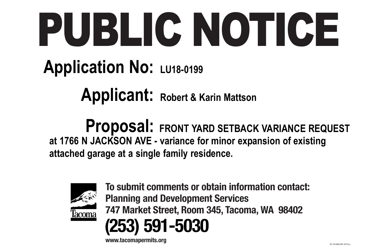## **To submit comments or obtain information contact:**  To submit comments or obtain information contact: **Planning and Development Services 747 Market Street, Room 345, Tacoma, WA 98402<br><b>(253) 591-5030**<br>www.tacomapermits.org **(253) 591-5030**

**www.tacomapermits.org** 



# PUBLIC NOTICE

## **Applicant: Robert & Karin Mattson Application No: LU18-0199**

### **Proposal: FRONT YARD SETBACK VARIANCE REQUEST at 1766 N JACKSON AVE - variance for minor expansion of existing attached garage at a single family residence.**



Tacoma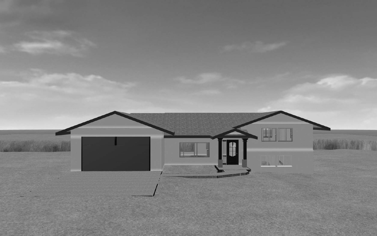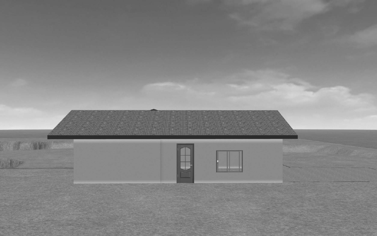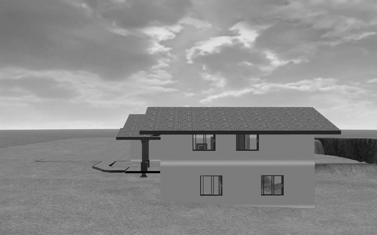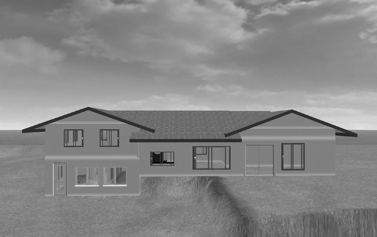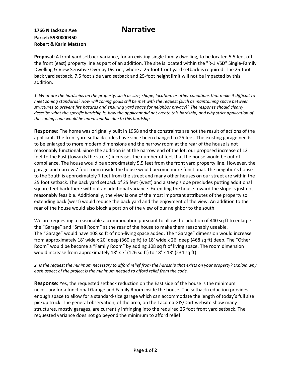### 1766 N Jackson Ave **Narrative**

### **Parcel: 5930000350 Robert & Karin Mattson**

**Proposal:** A front yard setback variance, for an existing single family dwelling, to be located 5.5 feet off the front (east) property line as part of an addition. The site is located within the "R-1 VSD" Single-Family Dwelling & View Sensitive Overlay District, where a 25-foot front yard setback is required. The 25-foot back yard setback, 7.5 foot side yard setback and 25-foot height limit will not be impacted by this addition.

*1. What are the hardships on the property, such as size, shape, location, or other conditions that make it difficult to meet zoning standards? How will zoning goals still be met with the request (such as maintaining space between structures to prevent fire hazards and ensuring yard space for neighbor privacy)? The response should clearly describe what the specific hardship is, how the applicant did not create this hardship, and why strict application of the zoning code would be unreasonable due to this hardship.*

**Response:** The home was originally built in 1958 and the constraints are not the result of actions of the applicant. The front yard setback codes have since been changed to 25 feet. The existing garage needs to be enlarged to more modern dimensions and the narrow room at the rear of the house is not reasonably functional. Since the addition is at the narrow end of the lot, our proposed increase of 12 feet to the East (towards the street) increases the number of feet that the house would be out of compliance. The house would be approximately 5.5 feet from the front yard property line. However, the garage and narrow 7 foot room inside the house would become more functional. The neighbor's house to the South is approximately 7 feet from the street and many other houses on our street are within the 25 foot setback. The back yard setback of 25 feet (west) and a steep slope precludes putting additional square feet back there without an additional variance. Extending the house toward the slope is just not reasonably feasible. Additionally, the view is one of the most important attributes of the property so extending back (west) would reduce the back yard and the enjoyment of the view. An addition to the rear of the house would also block a portion of the view of our neighbor to the south.

We are requesting a reasonable accommodation pursuant to allow the addition of 440 sq ft to enlarge the "Garage" and "Small Room" at the rear of the house to make them reasonably useable. The "Garage" would have 108 sq ft of non-living space added. The "Garage" dimension would increase from approximately 18' wide x 20' deep (360 sq ft) to 18' wide x 26' deep (468 sq ft) deep. The "Other Room" would be become a "Family Room" by adding 108 sq ft of living space. The room dimension would increase from approximately 18' x 7' (126 sq ft) to 18' x 13' (234 sq ft).

*2. Is the request the minimum necessary to afford relief from the hardship that exists on your property? Explain why each aspect of the project is the minimum needed to afford relief from the code.*

**Response:** Yes, the requested setback reduction on the East side of the house is the minimum necessary for a functional Garage and Family Room inside the house. The setback reduction provides enough space to allow for a standard-size garage which can accommodate the length of today's full size pickup truck. The general observation, of the area, on the Tacoma GIS/Dart website show many structures, mostly garages, are currently infringing into the required 25 foot front yard setback. The requested variance does not go beyond the minimum to afford relief.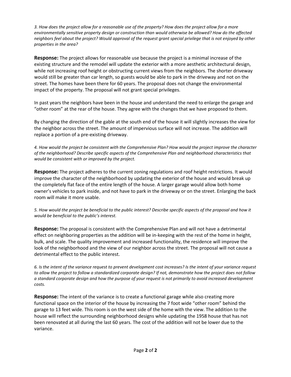*3. How does the project allow for a reasonable use of the property? How does the project allow for a more environmentally sensitive property design or construction than would otherwise be allowed? How do the affected neighbors feel about the project? Would approval of the request grant special privilege that is not enjoyed by other properties in the area?*

**Response:** The project allows for reasonable use because the project is a minimal increase of the existing structure and the remodel will update the exterior with a more aesthetic architectural design, while not increasing roof height or obstructing current views from the neighbors. The shorter driveway would still be greater than car length, so guests would be able to park in the driveway and not on the street. The homes have been there for 60 years. The proposal does not change the environmental impact of the property. The proposal will not grant special privileges.

In past years the neighbors have been in the house and understand the need to enlarge the garage and "other room" at the rear of the house. They agree with the changes that we have proposed to them.

By changing the direction of the gable at the south end of the house it will slightly increases the view for the neighbor across the street. The amount of impervious surface will not increase. The addition will replace a portion of a pre-existing driveway.

*4. How would the project be consistent with the Comprehensive Plan? How would the project improve the character of the neighborhood? Describe specific aspects of the Comprehensive Plan and neighborhood characteristics that would be consistent with or improved by the project.*

**Response:** The project adheres to the current zoning regulations and roof height restrictions. It would improve the character of the neighborhood by updating the exterior of the house and would break up the completely flat face of the entire length of the house. A larger garage would allow both home owner's vehicles to park inside, and not have to park in the driveway or on the street. Enlarging the back room will make it more usable.

*5. How would the project be beneficial to the public interest? Describe specific aspects of the proposal and how it would be beneficial to the public's interest.*

**Response:** The proposal is consistent with the Comprehensive Plan and will not have a detrimental effect on neighboring properties as the addition will be in-keeping with the rest of the home in height, bulk, and scale. The quality improvement and increased functionality, the residence will improve the look of the neighborhood and the view of our neighbor across the street. The proposal will not cause a detrimental effect to the public interest.

*6. Is the intent of the variance request to prevent development cost increases? Is the intent of your variance request to allow the project to follow a standardized corporate design? If not, demonstrate how the project does not follow a standard corporate design and how the purpose of your request is not primarily to avoid increased development costs.*

**Response:** The intent of the variance is to create a functional garage while also creating more functional space on the interior of the house by increasing the 7 foot wide "other room" behind the garage to 13 feet wide. This room is on the west side of the home with the view. The addition to the house will reflect the surrounding neighborhood designs while updating the 1958 house that has not been renovated at all during the last 60 years. The cost of the addition will not be lower due to the variance.